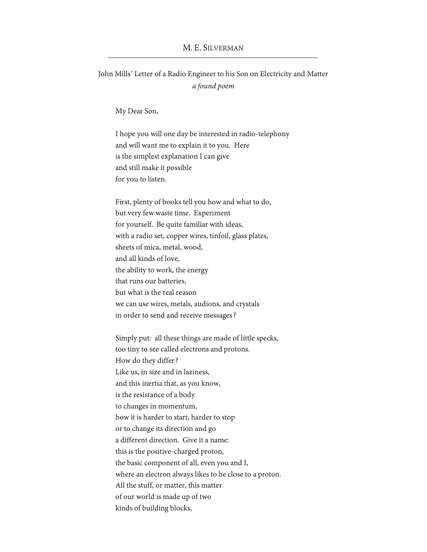## M. E. SILVERMAN

John Mills' Letter of a Radio Engineer to his Son on Electricity and Matter *a found poem*

My Dear Son,

I hope you will one day be interested in radio-telephony and will want me to explain it to you. Here is the simplest explanation I can give and still make it possible for you to listen.

First, plenty of books tell you how and what to do, but very few waste time. Experiment for yourself. Be quite familiar with ideas, with a radio set, copper wires, tinfoil, glass plates, sheets of mica, metal, wood, and all kinds of love, the ability to work, the energy that runs our batteries, but what is the real reason we can use wires, metals, audions, and crystals in order to send and receive messages?

Simply put: all these things are made of little specks, too tiny to see called electrons and protons. How do they differ? Like us, in size and in laziness, and this inertia that, as you know, is the resistance of a body to changes in momentum, how it is harder to start, harder to stop or to change its direction and go a different direction. Give it a name: this is the positive-charged proton, the basic component of all, even you and I, where an electron always likes to be close to a proton. All the stuff, or matter, this matter of our world is made up of two kinds of building blocks,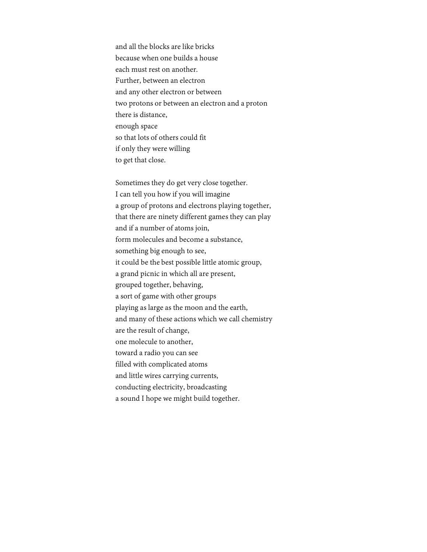and all the blocks are like bricks because when one builds a house each must rest on another. Further, between an electron and any other electron or between two protons or between an electron and a proton there is distance, enough space so that lots of others could fit if only they were willing to get that close.

Sometimes they do get very close together. I can tell you how if you will imagine a group of protons and electrons playing together, that there are ninety different games they can play and if a number of atoms join, form molecules and become a substance, something big enough to see, it could be the best possible little atomic group, a grand picnic in which all are present, grouped together, behaving, a sort of game with other groups playing as large as the moon and the earth, and many of these actions which we call chemistry are the result of change, one molecule to another, toward a radio you can see filled with complicated atoms and little wires carrying currents, conducting electricity, broadcasting a sound I hope we might build together.